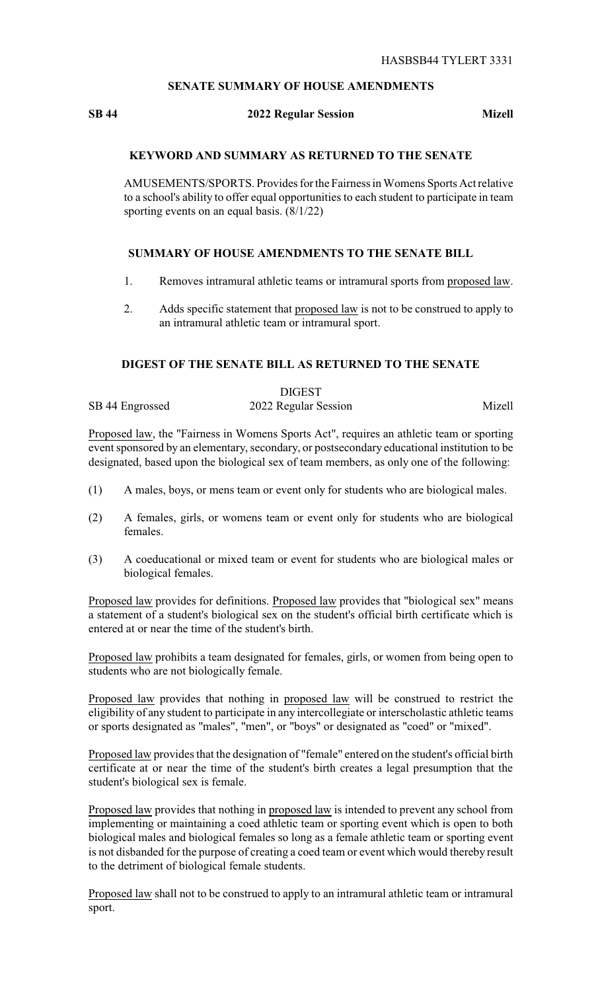# **SENATE SUMMARY OF HOUSE AMENDMENTS**

### **SB 44 2022 Regular Session Mizell**

### **KEYWORD AND SUMMARY AS RETURNED TO THE SENATE**

AMUSEMENTS/SPORTS. Provides for the Fairness in Womens Sports Act relative to a school's ability to offer equal opportunities to each student to participate in team sporting events on an equal basis.  $(8/1/22)$ 

## **SUMMARY OF HOUSE AMENDMENTS TO THE SENATE BILL**

- 1. Removes intramural athletic teams or intramural sports from proposed law.
- 2. Adds specific statement that proposed law is not to be construed to apply to an intramural athletic team or intramural sport.

# **DIGEST OF THE SENATE BILL AS RETURNED TO THE SENATE**

|                 | <b>DIGEST</b>        |        |
|-----------------|----------------------|--------|
| SB 44 Engrossed | 2022 Regular Session | Mizell |

Proposed law, the "Fairness in Womens Sports Act", requires an athletic team or sporting event sponsored by an elementary, secondary, or postsecondary educational institution to be designated, based upon the biological sex of team members, as only one of the following:

- (1) A males, boys, or mens team or event only for students who are biological males.
- (2) A females, girls, or womens team or event only for students who are biological females.
- (3) A coeducational or mixed team or event for students who are biological males or biological females.

Proposed law provides for definitions. Proposed law provides that "biological sex" means a statement of a student's biological sex on the student's official birth certificate which is entered at or near the time of the student's birth.

Proposed law prohibits a team designated for females, girls, or women from being open to students who are not biologically female.

Proposed law provides that nothing in proposed law will be construed to restrict the eligibility of any student to participate in any intercollegiate or interscholastic athletic teams or sports designated as "males", "men", or "boys" or designated as "coed" or "mixed".

Proposed law provides that the designation of "female" entered on the student's official birth certificate at or near the time of the student's birth creates a legal presumption that the student's biological sex is female.

Proposed law provides that nothing in proposed law is intended to prevent any school from implementing or maintaining a coed athletic team or sporting event which is open to both biological males and biological females so long as a female athletic team or sporting event is not disbanded for the purpose of creating a coed team or event which would thereby result to the detriment of biological female students.

Proposed law shall not to be construed to apply to an intramural athletic team or intramural sport.